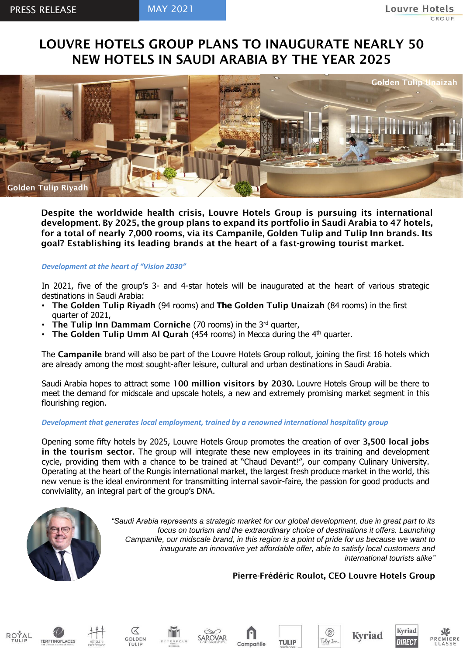# LOUVRE HOTELS GROUP PLANS TO INAUGURATE NEARLY 50 NEW HOTELS IN SAUDI ARABIA BY THE YEAR 2025



Despite the worldwide health crisis, Louvre Hotels Group is pursuing its international development. By 2025, the group plans to expand its portfolio in Saudi Arabia to 47 hotels, for a total of nearly 7,000 rooms, via its Campanile, Golden Tulip and Tulip Inn brands. Its goal? Establishing its leading brands at the heart of a fast-growing tourist market.

# *Development at the heart of "Vision 2030"*

In 2021, five of the group's 3- and 4-star hotels will be inaugurated at the heart of various strategic destinations in Saudi Arabia:

- The Golden Tulip Riyadh (94 rooms) and **The** Golden Tulip Unaizah (84 rooms) in the first quarter of 2021,
- The Tulip Inn Dammam Corniche (70 rooms) in the  $3<sup>rd</sup>$  quarter,
- **The Golden Tulip Umm Al Qurah** (454 rooms) in Mecca during the  $4<sup>th</sup>$  quarter.

The Campanile brand will also be part of the Louvre Hotels Group rollout, joining the first 16 hotels which are already among the most sought-after leisure, cultural and urban destinations in Saudi Arabia.

Saudi Arabia hopes to attract some 100 million visitors by 2030. Louvre Hotels Group will be there to meet the demand for midscale and upscale hotels, a new and extremely promising market segment in this flourishing region.

# *Development that generates local employment, trained by a renowned international hospitality group*

Opening some fifty hotels by 2025, Louvre Hotels Group promotes the creation of over 3,500 local jobs in the tourism sector. The group will integrate these new employees in its training and development cycle, providing them with a chance to be trained at "Chaud Devant!", our company Culinary University. Operating at the heart of the Rungis international market, the largest fresh produce market in the world, this new venue is the ideal environment for transmitting internal savoir-faire, the passion for good products and conviviality, an integral part of the group's DNA.



*"Saudi Arabia represents a strategic market for our global development, due in great part to its focus on tourism and the extraordinary choice of destinations it offers. Launching Campanile, our midscale brand, in this region is a point of pride for us because we want to inaugurate an innovative yet affordable offer, able to satisfy local customers and international tourists alike"*

#### Pierre-Frédéric Roulot, CEO Louvre Hotels Group